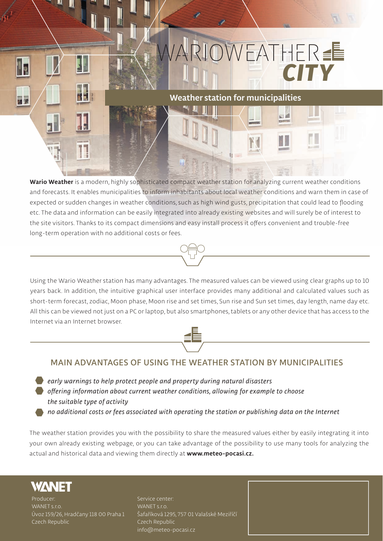

**Wario Weather is a modern, highly sophisticated compact weather station for analyzing current weather conditions and forecasts. It enables municipalities to inform inhabitants about local weather conditions and warn them in case of expected or sudden changes in weather conditions, such as high wind gusts, precipitation that could lead to flooding etc. The data and information can be easily integrated into already existing websites and will surely be of interest to the site visitors. Thanks to its compact dimensions and easy install process it offers convenient and trouble-free long-term operation with no additional costs or fees.** 

**Using the Wario Weather station has many advantages. The measured values can be viewed using clear graphs up to 10 years back. In addition, the intuitive graphical user interface provides many additional and calculated values such as short-term forecast, zodiac, Moon phase, Moon rise and set times, Sun rise and Sun set times, day length, name day etc. All this can be viewed not just on a PC or laptop, but also smartphones, tablets or any other device that has access to the Internet via an Internet browser.** 



## **MAIN ADVANTAGES OF USING THE WEATHER STATION BY MUNICIPALITIES**

*early warnings to help protect people and property during natural disasters*

*offering information about current weather conditions, allowing for example to choose the suitable type of activity*

*no additional costs or fees associated with operating the station or publishing data on the Internet*

**The weather station provides you with the possibility to share the measured values either by easily integrating it into your own already existing webpage, or you can take advantage of the possibility to use many tools for analyzing the actual and historical data and viewing them directly at www.meteo-pocasi.cz.**



**Producer: WANET s.r.o. Úvoz 159/26, Hradčany 118 00 Praha 1 Czech Republic**

**Service center: WANET s.r.o. Šafaříková 1295, 757 01 Valašské Meziříčí Czech Republic info@meteo-pocasi.cz**